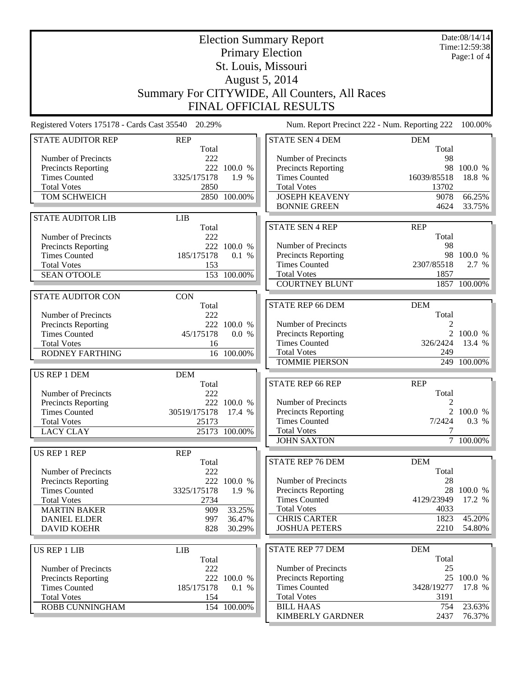|                                                    | <b>Election Summary Report</b><br><b>Primary Election</b> |                      |                                                    |                     | Date:08/14/14<br>Time:12:59:38 |  |
|----------------------------------------------------|-----------------------------------------------------------|----------------------|----------------------------------------------------|---------------------|--------------------------------|--|
| St. Louis, Missouri                                |                                                           |                      |                                                    | Page:1 of $4$       |                                |  |
| <b>August 5, 2014</b>                              |                                                           |                      |                                                    |                     |                                |  |
| Summary For CITYWIDE, All Counters, All Races      |                                                           |                      |                                                    |                     |                                |  |
| FINAL OFFICIAL RESULTS                             |                                                           |                      |                                                    |                     |                                |  |
|                                                    |                                                           |                      |                                                    |                     |                                |  |
| Registered Voters 175178 - Cards Cast 35540 20.29% |                                                           |                      | Num. Report Precinct 222 - Num. Reporting 222      |                     | 100.00%                        |  |
| <b>STATE AUDITOR REP</b>                           | <b>REP</b><br>Total                                       |                      | <b>STATE SEN 4 DEM</b>                             | <b>DEM</b><br>Total |                                |  |
| Number of Precincts                                | 222                                                       |                      | Number of Precincts                                | 98                  |                                |  |
| <b>Precincts Reporting</b><br><b>Times Counted</b> | 3325/175178                                               | 222 100.0 %<br>1.9 % | Precincts Reporting<br><b>Times Counted</b>        | 16039/85518         | 98 100.0 %<br>18.8 %           |  |
| <b>Total Votes</b>                                 | 2850                                                      |                      | <b>Total Votes</b>                                 | 13702               |                                |  |
| TOM SCHWEICH                                       |                                                           | 2850 100.00%         | <b>JOSEPH KEAVENY</b>                              | 9078                | 66.25%                         |  |
|                                                    |                                                           |                      | <b>BONNIE GREEN</b>                                | 4624                | 33.75%                         |  |
| <b>STATE AUDITOR LIB</b>                           | LIB                                                       |                      |                                                    |                     |                                |  |
| Number of Precincts                                | Total<br>222                                              |                      | <b>STATE SEN 4 REP</b>                             | <b>REP</b><br>Total |                                |  |
| Precincts Reporting                                |                                                           | 222 100.0 %          | Number of Precincts                                | 98                  |                                |  |
| <b>Times Counted</b>                               | 185/175178                                                | 0.1 %                | Precincts Reporting                                |                     | 98 100.0 %                     |  |
| <b>Total Votes</b>                                 | 153                                                       |                      | <b>Times Counted</b>                               | 2307/85518          | 2.7 %                          |  |
| <b>SEAN O'TOOLE</b>                                |                                                           | 153 100.00%          | <b>Total Votes</b>                                 | 1857                |                                |  |
|                                                    |                                                           |                      | <b>COURTNEY BLUNT</b>                              |                     | 1857 100.00%                   |  |
| <b>STATE AUDITOR CON</b>                           | <b>CON</b>                                                |                      |                                                    |                     |                                |  |
| Number of Precincts                                | Total<br>222                                              |                      | STATE REP 66 DEM                                   | <b>DEM</b><br>Total |                                |  |
| <b>Precincts Reporting</b>                         |                                                           | 222 100.0 %          | Number of Precincts                                | 2                   |                                |  |
| <b>Times Counted</b>                               | 45/175178                                                 | 0.0 %                | Precincts Reporting                                |                     | 2 100.0 %                      |  |
| <b>Total Votes</b>                                 | 16                                                        |                      | <b>Times Counted</b>                               | 326/2424            | 13.4 %                         |  |
| <b>RODNEY FARTHING</b>                             |                                                           | 16 100.00%           | <b>Total Votes</b>                                 | 249                 |                                |  |
|                                                    |                                                           |                      | <b>TOMMIE PIERSON</b>                              |                     | 249 100.00%                    |  |
| US REP 1 DEM                                       | <b>DEM</b>                                                |                      |                                                    |                     |                                |  |
| Number of Precincts                                | Total<br>222                                              |                      | <b>STATE REP 66 REP</b>                            | <b>REP</b><br>Total |                                |  |
| <b>Precincts Reporting</b>                         |                                                           | 222 100.0 %          | Number of Precincts                                | 2                   |                                |  |
| <b>Times Counted</b>                               | 30519/175178 17.4 %                                       |                      | Precincts Reporting                                |                     | 2 100.0 %                      |  |
| <b>Total Votes</b>                                 | 25173                                                     |                      | <b>Times Counted</b>                               | 7/2424              | 0.3 %                          |  |
| <b>LACY CLAY</b>                                   |                                                           | 25173 100.00%        | <b>Total Votes</b>                                 | 7                   |                                |  |
|                                                    |                                                           |                      | <b>JOHN SAXTON</b>                                 |                     | 7 100.00%                      |  |
| US REP 1 REP                                       | <b>REP</b><br>Total                                       |                      | <b>STATE REP 76 DEM</b>                            | <b>DEM</b>          |                                |  |
| Number of Precincts                                | 222                                                       |                      |                                                    | Total               |                                |  |
| <b>Precincts Reporting</b>                         |                                                           | 222 100.0 %          | Number of Precincts                                | 28                  |                                |  |
| <b>Times Counted</b>                               | 3325/175178                                               | 1.9 %                | <b>Precincts Reporting</b>                         |                     | 28 100.0 %                     |  |
| <b>Total Votes</b>                                 | 2734                                                      |                      | <b>Times Counted</b>                               | 4129/23949          | 17.2 %                         |  |
| <b>MARTIN BAKER</b>                                | 909                                                       | 33.25%               | <b>Total Votes</b>                                 | 4033                |                                |  |
| <b>DANIEL ELDER</b><br><b>DAVID KOEHR</b>          | 997<br>828                                                | 36.47%               | <b>CHRIS CARTER</b><br><b>JOSHUA PETERS</b>        | 1823<br>2210        | 45.20%<br>54.80%               |  |
|                                                    |                                                           | 30.29%               |                                                    |                     |                                |  |
| <b>US REP 1 LIB</b>                                | <b>LIB</b>                                                |                      | <b>STATE REP 77 DEM</b>                            | <b>DEM</b>          |                                |  |
|                                                    | Total                                                     |                      |                                                    | Total               |                                |  |
| Number of Precincts                                | 222                                                       |                      | Number of Precincts                                | 25                  |                                |  |
| Precincts Reporting<br><b>Times Counted</b>        | 185/175178                                                | 222 100.0 %<br>0.1 % | <b>Precincts Reporting</b><br><b>Times Counted</b> | 3428/19277          | 25 100.0 %<br>17.8 %           |  |
| <b>Total Votes</b>                                 | 154                                                       |                      | <b>Total Votes</b>                                 | 3191                |                                |  |
| ROBB CUNNINGHAM                                    |                                                           | 154 100.00%          | <b>BILL HAAS</b>                                   | 754                 | 23.63%                         |  |
|                                                    |                                                           |                      | <b>KIMBERLY GARDNER</b>                            | 2437                | 76.37%                         |  |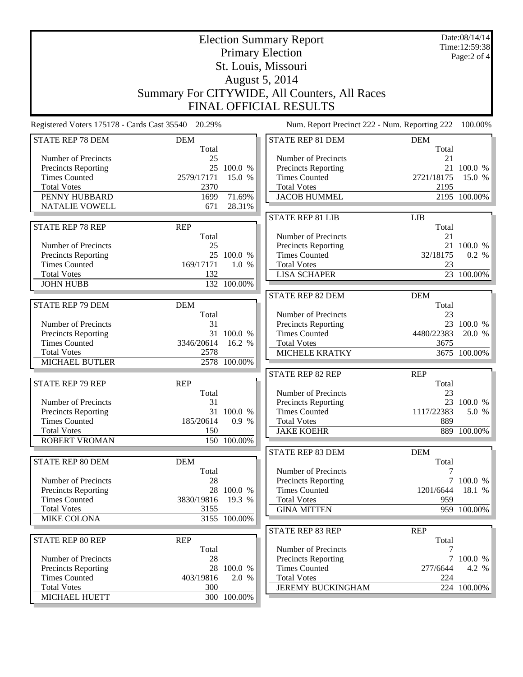|                                            | <b>Election Summary Report</b>                     |              |                                               |                     | Date:08/14/14<br>Time:12:59:38 |  |
|--------------------------------------------|----------------------------------------------------|--------------|-----------------------------------------------|---------------------|--------------------------------|--|
| <b>Primary Election</b>                    |                                                    |              |                                               | Page:2 of 4         |                                |  |
| St. Louis, Missouri                        |                                                    |              |                                               |                     |                                |  |
|                                            |                                                    |              |                                               |                     |                                |  |
|                                            | August 5, 2014                                     |              |                                               |                     |                                |  |
|                                            | Summary For CITYWIDE, All Counters, All Races      |              |                                               |                     |                                |  |
|                                            |                                                    |              | <b>FINAL OFFICIAL RESULTS</b>                 |                     |                                |  |
|                                            | Registered Voters 175178 - Cards Cast 35540 20.29% |              | Num. Report Precinct 222 - Num. Reporting 222 |                     | 100.00%                        |  |
| <b>STATE REP 78 DEM</b>                    | <b>DEM</b><br>Total                                |              | STATE REP 81 DEM                              | <b>DEM</b><br>Total |                                |  |
| Number of Precincts                        | 25                                                 |              | Number of Precincts                           | 21                  |                                |  |
| <b>Precincts Reporting</b>                 |                                                    | 25 100.0 %   | Precincts Reporting                           |                     | 21 100.0 %                     |  |
| <b>Times Counted</b>                       | 2579/17171                                         | 15.0 %       | <b>Times Counted</b>                          | 2721/18175          | 15.0 %                         |  |
| <b>Total Votes</b>                         | 2370                                               |              | <b>Total Votes</b>                            | 2195                |                                |  |
| PENNY HUBBARD                              | 1699                                               | 71.69%       | <b>JACOB HUMMEL</b>                           |                     | 2195 100.00%                   |  |
| <b>NATALIE VOWELL</b>                      | 671                                                | 28.31%       |                                               |                     |                                |  |
|                                            |                                                    |              | <b>STATE REP 81 LIB</b>                       | <b>LIB</b>          |                                |  |
| <b>STATE REP 78 REP</b>                    | <b>REP</b>                                         |              |                                               | Total               |                                |  |
|                                            | Total                                              |              | Number of Precincts                           | 21                  |                                |  |
| Number of Precincts                        | 25                                                 |              | Precincts Reporting                           |                     | 21 100.0 %                     |  |
| <b>Precincts Reporting</b>                 |                                                    | 25 100.0 %   | <b>Times Counted</b>                          | 32/18175            | 0.2 %                          |  |
| <b>Times Counted</b>                       | 169/17171                                          | 1.0 %        | <b>Total Votes</b>                            | 23                  |                                |  |
| <b>Total Votes</b>                         | 132                                                |              | <b>LISA SCHAPER</b>                           |                     | 23 100.00%                     |  |
| <b>JOHN HUBB</b>                           |                                                    | 132 100.00%  |                                               |                     |                                |  |
|                                            |                                                    |              | <b>STATE REP 82 DEM</b>                       | <b>DEM</b>          |                                |  |
| <b>STATE REP 79 DEM</b>                    | <b>DEM</b>                                         |              |                                               | Total               |                                |  |
|                                            | Total                                              |              | Number of Precincts                           | 23                  |                                |  |
| Number of Precincts                        | 31                                                 |              | Precincts Reporting                           |                     | 23 100.0 %                     |  |
| Precincts Reporting                        |                                                    | 31 100.0 %   | <b>Times Counted</b>                          | 4480/22383          | 20.0 %                         |  |
| <b>Times Counted</b>                       | 3346/20614                                         | 16.2 %       | <b>Total Votes</b>                            | 3675                |                                |  |
| <b>Total Votes</b>                         | 2578                                               |              | MICHELE KRATKY                                |                     | 3675 100.00%                   |  |
| <b>MICHAEL BUTLER</b>                      |                                                    | 2578 100.00% |                                               |                     |                                |  |
|                                            |                                                    |              | <b>STATE REP 82 REP</b>                       | <b>REP</b>          |                                |  |
| <b>STATE REP 79 REP</b>                    | <b>REP</b>                                         |              |                                               | Total               |                                |  |
|                                            | Total                                              |              | Number of Precincts                           | 23                  |                                |  |
| Number of Precincts                        | 31                                                 |              | Precincts Reporting                           |                     | 23 100.0 %                     |  |
| <b>Precincts Reporting</b>                 |                                                    | 31 100.0 %   | <b>Times Counted</b>                          | 1117/22383<br>889   | 5.0 %                          |  |
| <b>Times Counted</b><br><b>Total Votes</b> | 185/20614<br>150                                   | 0.9 %        | <b>Total Votes</b><br><b>JAKE KOEHR</b>       |                     | 889 100.00%                    |  |
| <b>ROBERT VROMAN</b>                       |                                                    | 150 100.00%  |                                               |                     |                                |  |
|                                            |                                                    |              |                                               | <b>DEM</b>          |                                |  |
| STATE REP 80 DEM                           | <b>DEM</b>                                         |              | STATE REP 83 DEM                              | Total               |                                |  |
|                                            | Total                                              |              | Number of Precincts                           |                     |                                |  |
| Number of Precincts                        | 28                                                 |              | Precincts Reporting                           |                     | 7 100.0 %                      |  |
| <b>Precincts Reporting</b>                 |                                                    | 28 100.0 %   | <b>Times Counted</b>                          | 1201/6644           | 18.1 %                         |  |
| <b>Times Counted</b>                       | 3830/19816                                         | 19.3 %       | <b>Total Votes</b>                            | 959                 |                                |  |
| <b>Total Votes</b>                         | 3155                                               |              | <b>GINA MITTEN</b>                            |                     | 959 100.00%                    |  |
| <b>MIKE COLONA</b>                         |                                                    | 3155 100.00% |                                               |                     |                                |  |
|                                            |                                                    |              | <b>STATE REP 83 REP</b>                       | <b>REP</b>          |                                |  |
| <b>STATE REP 80 REP</b>                    | <b>REP</b>                                         |              |                                               | Total               |                                |  |
|                                            | Total                                              |              | Number of Precincts                           | 7                   |                                |  |
| <b>Number of Precincts</b>                 | 28                                                 |              | Precincts Reporting                           |                     | 7 100.0 %                      |  |
| Precincts Reporting                        |                                                    | 28 100.0 %   | <b>Times Counted</b>                          | 277/6644            | 4.2 %                          |  |
| <b>Times Counted</b>                       | 403/19816                                          | 2.0 %        | <b>Total Votes</b>                            | 224                 |                                |  |
| <b>Total Votes</b>                         | 300                                                |              | <b>JEREMY BUCKINGHAM</b>                      |                     | 224 100.00%                    |  |
| MICHAEL HUETT                              |                                                    | 300 100.00%  |                                               |                     |                                |  |
|                                            |                                                    |              |                                               |                     |                                |  |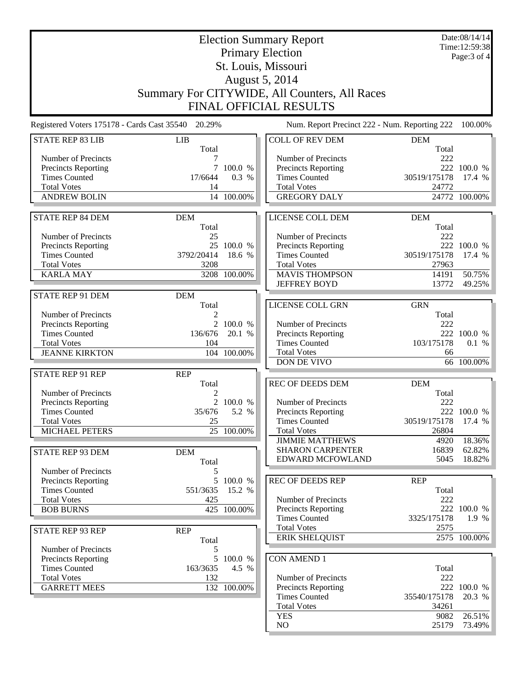|                                                   |                                                    |              | <b>Election Summary Report</b>                |                     | Date:08/14/14<br>Time:12:59:38 |
|---------------------------------------------------|----------------------------------------------------|--------------|-----------------------------------------------|---------------------|--------------------------------|
|                                                   |                                                    |              | <b>Primary Election</b>                       |                     | Page: 3 of 4                   |
|                                                   |                                                    |              | St. Louis, Missouri                           |                     |                                |
|                                                   |                                                    |              | August 5, 2014                                |                     |                                |
|                                                   |                                                    |              | Summary For CITYWIDE, All Counters, All Races |                     |                                |
| <b>FINAL OFFICIAL RESULTS</b>                     |                                                    |              |                                               |                     |                                |
|                                                   |                                                    |              |                                               |                     |                                |
|                                                   | Registered Voters 175178 - Cards Cast 35540 20.29% |              | Num. Report Precinct 222 - Num. Reporting 222 |                     | 100.00%                        |
| <b>STATE REP 83 LIB</b>                           | <b>LIB</b><br>Total                                |              | <b>COLL OF REV DEM</b>                        | <b>DEM</b><br>Total |                                |
| Number of Precincts                               |                                                    |              | Number of Precincts                           | 222                 |                                |
| <b>Precincts Reporting</b>                        | $\tau$                                             | 100.0 %      | Precincts Reporting                           |                     | 222 100.0 %                    |
| <b>Times Counted</b>                              | 17/6644                                            | 0.3 %        | <b>Times Counted</b>                          | 30519/175178        | 17.4 %                         |
| <b>Total Votes</b>                                | 14                                                 |              | <b>Total Votes</b>                            | 24772               |                                |
| <b>ANDREW BOLIN</b>                               |                                                    | 14 100.00%   | <b>GREGORY DALY</b>                           |                     | 24772 100.00%                  |
| <b>STATE REP 84 DEM</b>                           | <b>DEM</b>                                         |              | LICENSE COLL DEM                              | <b>DEM</b>          |                                |
|                                                   | Total                                              |              |                                               | Total               |                                |
| Number of Precincts                               | 25                                                 |              | Number of Precincts                           | 222                 |                                |
| Precincts Reporting                               |                                                    | 25 100.0 %   | Precincts Reporting                           |                     | 222 100.0 %                    |
| <b>Times Counted</b>                              | 3792/20414                                         | 18.6 %       | <b>Times Counted</b>                          | 30519/175178        | 17.4 %                         |
| <b>Total Votes</b>                                | 3208                                               |              | <b>Total Votes</b>                            | 27963               |                                |
| <b>KARLA MAY</b>                                  |                                                    | 3208 100.00% | <b>MAVIS THOMPSON</b><br><b>JEFFREY BOYD</b>  | 14191<br>13772      | 50.75%<br>49.25%               |
| STATE REP 91 DEM                                  | <b>DEM</b>                                         |              |                                               |                     |                                |
|                                                   | Total                                              |              | LICENSE COLL GRN                              | <b>GRN</b>          |                                |
| Number of Precincts                               | 2                                                  |              |                                               | Total               |                                |
| <b>Precincts Reporting</b>                        | $\overline{2}$                                     | 100.0 %      | Number of Precincts                           | 222                 |                                |
| <b>Times Counted</b>                              | 136/676                                            | 20.1 %       | Precincts Reporting                           |                     | 222 100.0 %                    |
| <b>Total Votes</b>                                | 104                                                |              | <b>Times Counted</b>                          | 103/175178          | 0.1 %                          |
| <b>JEANNE KIRKTON</b>                             |                                                    | 104 100.00%  | <b>Total Votes</b>                            | 66                  |                                |
|                                                   |                                                    |              | DON DE VIVO                                   |                     | 66 100.00%                     |
| <b>STATE REP 91 REP</b>                           | <b>REP</b>                                         |              | REC OF DEEDS DEM                              | <b>DEM</b>          |                                |
| Number of Precincts                               | Total<br>2                                         |              |                                               | Total               |                                |
| <b>Precincts Reporting</b>                        |                                                    | 2 100.0 %    | Number of Precincts                           | 222                 |                                |
| <b>Times Counted</b>                              | 35/676                                             | 5.2 %        | <b>Precincts Reporting</b>                    |                     | 222 100.0 %                    |
| <b>Total Votes</b>                                | 25                                                 |              | <b>Times Counted</b>                          | 30519/175178        | 17.4 $%$                       |
| MICHAEL PETERS                                    |                                                    | 25 100.00%   | <b>Total Votes</b>                            | 26804               |                                |
|                                                   |                                                    |              | <b>JIMMIE MATTHEWS</b>                        | 4920                | 18.36%                         |
| STATE REP 93 DEM                                  | <b>DEM</b>                                         |              | <b>SHARON CARPENTER</b><br>EDWARD MCFOWLAND   | 16839<br>5045       | $62.82\%$<br>18.82%            |
|                                                   | Total                                              |              |                                               |                     |                                |
| Number of Precincts<br><b>Precincts Reporting</b> | 5<br>5                                             | 100.0 %      | <b>REC OF DEEDS REP</b>                       | <b>REP</b>          |                                |
| <b>Times Counted</b>                              | 551/3635                                           | 15.2 %       |                                               | Total               |                                |
| <b>Total Votes</b>                                | 425                                                |              | Number of Precincts                           | 222                 |                                |
| <b>BOB BURNS</b>                                  |                                                    | 425 100.00%  | Precincts Reporting                           |                     | 222 100.0 %                    |
|                                                   |                                                    |              | <b>Times Counted</b>                          | 3325/175178         | 1.9 %                          |
| <b>STATE REP 93 REP</b>                           | <b>REP</b>                                         |              | <b>Total Votes</b>                            | 2575                |                                |
|                                                   | Total                                              |              | <b>ERIK SHELQUIST</b>                         |                     | 2575 100.00%                   |
| Number of Precincts                               | 5                                                  |              |                                               |                     |                                |
| Precincts Reporting                               |                                                    | 5 100.0 %    | <b>CON AMEND 1</b>                            |                     |                                |
| <b>Times Counted</b><br><b>Total Votes</b>        | 163/3635<br>132                                    | 4.5 %        | Number of Precincts                           | Total<br>222        |                                |
| <b>GARRETT MEES</b>                               |                                                    | 132 100.00%  | Precincts Reporting                           |                     | 222 100.0 %                    |
|                                                   |                                                    |              | <b>Times Counted</b>                          | 35540/175178        | 20.3 %                         |
|                                                   |                                                    |              | <b>Total Votes</b>                            | 34261               |                                |
|                                                   |                                                    |              | <b>YES</b>                                    | 9082                | 26.51%                         |
|                                                   |                                                    |              | NO                                            | 25179               | 73.49%                         |